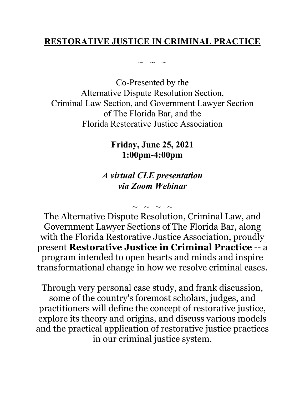# **RESTORATIVE JUSTICE IN CRIMINAL PRACTICE**

 $\sim$  ~ ~

Co-Presented by the Alternative Dispute Resolution Section, Criminal Law Section, and Government Lawyer Section of The Florida Bar, and the Florida Restorative Justice Association

> **Friday, June 25, 2021 1:00pm-4:00pm**

# *A virtual CLE presentation via Zoom Webinar*

 $\sim$  ~ ~ ~ The Alternative Dispute Resolution, Criminal Law, and Government Lawyer Sections of The Florida Bar, along with the Florida Restorative Justice Association, proudly present **Restorative Justice in Criminal Practice** -- a program intended to open hearts and minds and inspire transformational change in how we resolve criminal cases.

Through very personal case study, and frank discussion, some of the country's foremost scholars, judges, and practitioners will define the concept of restorative justice, explore its theory and origins, and discuss various models and the practical application of restorative justice practices in our criminal justice system.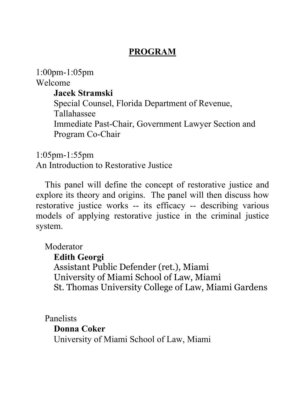# **PROGRAM**

1:00pm-1:05pm Welcome **Jacek Stramski** Special Counsel, Florida Department of Revenue, Tallahassee Immediate Past-Chair, Government Lawyer Section and Program Co-Chair

1:05pm-1:55pm An Introduction to Restorative Justice

This panel will define the concept of restorative justice and explore its theory and origins. The panel will then discuss how restorative justice works -- its efficacy -- describing various models of applying restorative justice in the criminal justice system.

Moderator

**Edith Georgi** Assistant Public Defender (ret.), Miami University of Miami School of Law, Miami St. Thomas University College of Law, Miami Gardens

Panelists **Donna Coker** University of Miami School of Law, Miami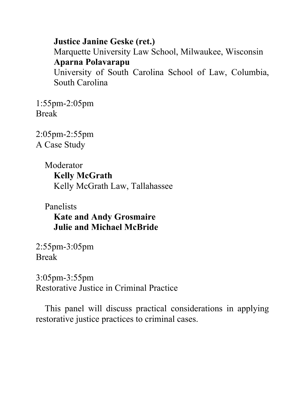**Justice Janine Geske (ret.)** Marquette University Law School, Milwaukee, Wisconsin **Aparna Polavarapu** University of South Carolina School of Law, Columbia, South Carolina

1:55pm-2:05pm Break

2:05pm-2:55pm A Case Study

> Moderator **Kelly McGrath** Kelly McGrath Law, Tallahassee

Panelists **Kate and Andy Grosmaire Julie and Michael McBride**

2:55pm-3:05pm Break

3:05pm-3:55pm Restorative Justice in Criminal Practice

This panel will discuss practical considerations in applying restorative justice practices to criminal cases.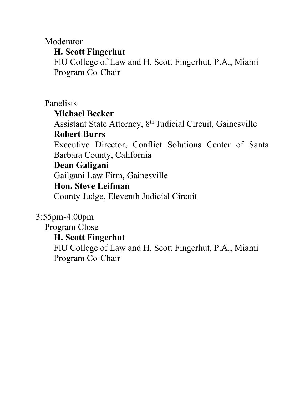Moderator

# **H. Scott Fingerhut**

FlU College of Law and H. Scott Fingerhut, P.A., Miami Program Co-Chair

Panelists

# **Michael Becker**

Assistant State Attorney, 8th Judicial Circuit, Gainesville **Robert Burrs**

Executive Director, Conflict Solutions Center of Santa Barbara County, California

# **Dean Galigani**

Gailgani Law Firm, Gainesville

# **Hon. Steve Leifman**

County Judge, Eleventh Judicial Circuit

3:55pm-4:00pm

Program Close

# **H. Scott Fingerhut**

FlU College of Law and H. Scott Fingerhut, P.A., Miami Program Co-Chair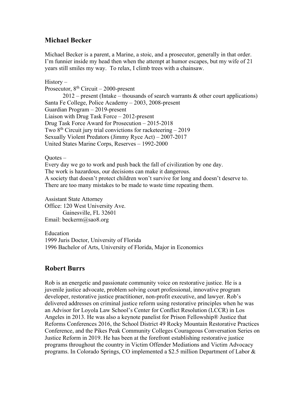### **Michael Becker**

Michael Becker is a parent, a Marine, a stoic, and a prosecutor, generally in that order. I'm funnier inside my head then when the attempt at humor escapes, but my wife of 21 years still smiles my way. To relax, I climb trees with a chainsaw.

#### History –

Prosecutor,  $8<sup>th</sup> Circuit - 2000-present$ 

 $2012$  – present (Intake – thousands of search warrants & other court applications) Santa Fe College, Police Academy – 2003, 2008-present Guardian Program – 2019-present Liaison with Drug Task Force – 2012-present Drug Task Force Award for Prosecution – 2015-2018 Two  $8<sup>th</sup>$  Circuit jury trial convictions for racketeering  $-2019$ Sexually Violent Predators (Jimmy Ryce Act) – 2007-2017 United States Marine Corps, Reserves – 1992-2000

#### Ouotes  $-$

Every day we go to work and push back the fall of civilization by one day. The work is hazardous, our decisions can make it dangerous. A society that doesn't protect children won't survive for long and doesn't deserve to. There are too many mistakes to be made to waste time repeating them.

Assistant State Attorney Office: 120 West University Ave. Gainesville, FL 32601 Email: beckerm@sao8.org

Education 1999 Juris Doctor, University of Florida 1996 Bachelor of Arts, University of Florida, Major in Economics

### **Robert Burrs**

Rob is an energetic and passionate community voice on restorative justice. He is a juvenile justice advocate, problem solving court professional, innovative program developer, restorative justice practitioner, non-profit executive, and lawyer. Rob's delivered addresses on criminal justice reform using restorative principles when he was an Advisor for Loyola Law School's Center for Conflict Resolution (LCCR) in Los Angeles in 2013. He was also a keynote panelist for Prison Fellowship® Justice that Reforms Conferences 2016, the School District 49 Rocky Mountain Restorative Practices Conference, and the Pikes Peak Community Colleges Courageous Conversation Series on Justice Reform in 2019. He has been at the forefront establishing restorative justice programs throughout the country in Victim Offender Mediations and Victim Advocacy programs. In Colorado Springs, CO implemented a \$2.5 million Department of Labor &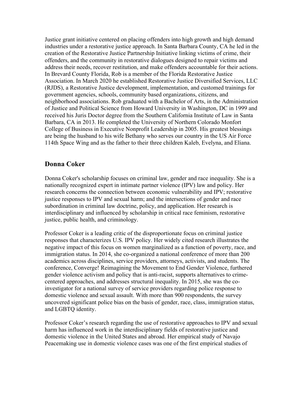Justice grant initiative centered on placing offenders into high growth and high demand industries under a restorative justice approach. In Santa Barbara County, CA he led in the creation of the Restorative Justice Partnership Initiative linking victims of crime, their offenders, and the community in restorative dialogues designed to repair victims and address their needs, recover restitution, and make offenders accountable for their actions. In Brevard County Florida, Rob is a member of the Florida Restorative Justice Association. In March 2020 he established Restorative Justice Diversified Services, LLC (RJDS), a Restorative Justice development, implementation, and customed trainings for government agencies, schools, community based organizations, citizens, and neighborhood associations. Rob graduated with a Bachelor of Arts, in the Administration of Justice and Political Science from Howard University in Washington, DC in 1999 and received his Juris Doctor degree from the Southern California Institute of Law in Santa Barbara, CA in 2013. He completed the University of Northern Colorado Monfort College of Business in Executive Nonprofit Leadership in 2005. His greatest blessings are being the husband to his wife Bethany who serves our country in the US Air Force 114th Space Wing and as the father to their three children Kaleb, Evelyna, and Eliana.

### **Donna Coker**

Donna Coker's scholarship focuses on criminal law, gender and race inequality. She is a nationally recognized expert in intimate partner violence (IPV) law and policy. Her research concerns the connection between economic vulnerability and IPV; restorative justice responses to IPV and sexual harm; and the intersections of gender and race subordination in criminal law doctrine, policy, and application. Her research is interdisciplinary and influenced by scholarship in critical race feminism, restorative justice, public health, and criminology.

Professor Coker is a leading critic of the disproportionate focus on criminal justice responses that characterizes U.S. IPV policy. Her widely cited research illustrates the negative impact of this focus on women marginalized as a function of poverty, race, and immigration status. In 2014, she co-organized a national conference of more than 200 academics across disciplines, service providers, attorneys, activists, and students. The conference, Converge! Reimagining the Movement to End Gender Violence, furthered gender violence activism and policy that is anti-racist, supports alternatives to crimecentered approaches, and addresses structural inequality. In 2015, she was the coinvestigator for a national survey of service providers regarding police response to domestic violence and sexual assault. With more than 900 respondents, the survey uncovered significant police bias on the basis of gender, race, class, immigration status, and LGBTQ identity.

Professor Coker's research regarding the use of restorative approaches to IPV and sexual harm has influenced work in the interdisciplinary fields of restorative justice and domestic violence in the United States and abroad. Her empirical study of Navajo Peacemaking use in domestic violence cases was one of the first empirical studies of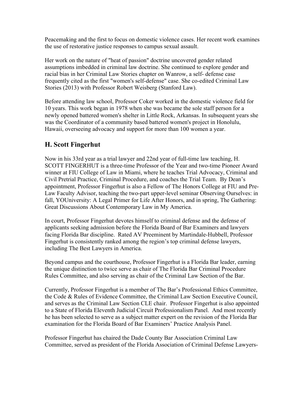Peacemaking and the first to focus on domestic violence cases. Her recent work examines the use of restorative justice responses to campus sexual assault.

Her work on the nature of "heat of passion" doctrine uncovered gender related assumptions imbedded in criminal law doctrine. She continued to explore gender and racial bias in her Criminal Law Stories chapter on Wanrow, a self- defense case frequently cited as the first "women's self-defense" case. She co-edited Criminal Law Stories (2013) with Professor Robert Weisberg (Stanford Law).

Before attending law school, Professor Coker worked in the domestic violence field for 10 years. This work began in 1978 when she was became the sole staff person for a newly opened battered women's shelter in Little Rock, Arkansas. In subsequent years she was the Coordinator of a community based battered women's project in Honolulu, Hawaii, overseeing advocacy and support for more than 100 women a year.

## **H. Scott Fingerhut**

Now in his 33rd year as a trial lawyer and 22nd year of full-time law teaching, H. SCOTT FINGERHUT is a three-time Professor of the Year and two-time Pioneer Award winner at FIU College of Law in Miami, where he teaches Trial Advocacy, Criminal and Civil Pretrial Practice, Criminal Procedure, and coaches the Trial Team. By Dean's appointment, Professor Fingerhut is also a Fellow of The Honors College at FIU and Pre-Law Faculty Advisor, teaching the two-part upper-level seminar Observing Ourselves: in fall, YOUniversity: A Legal Primer for Life After Honors, and in spring, The Gathering: Great Discussions About Contemporary Law in My America.

In court, Professor Fingerhut devotes himself to criminal defense and the defense of applicants seeking admission before the Florida Board of Bar Examiners and lawyers facing Florida Bar discipline. Rated AV Preeminent by Martindale-Hubbell, Professor Fingerhut is consistently ranked among the region's top criminal defense lawyers, including The Best Lawyers in America.

Beyond campus and the courthouse, Professor Fingerhut is a Florida Bar leader, earning the unique distinction to twice serve as chair of The Florida Bar Criminal Procedure Rules Committee, and also serving as chair of the Criminal Law Section of the Bar.

Currently, Professor Fingerhut is a member of The Bar's Professional Ethics Committee, the Code & Rules of Evidence Committee, the Criminal Law Section Executive Council, and serves as the Criminal Law Section CLE chair. Professor Fingerhut is also appointed to a State of Florida Eleventh Judicial Circuit Professionalism Panel. And most recently he has been selected to serve as a subject matter expert on the revision of the Florida Bar examination for the Florida Board of Bar Examiners' Practice Analysis Panel.

Professor Fingerhut has chaired the Dade County Bar Association Criminal Law Committee, served as president of the Florida Association of Criminal Defense Lawyers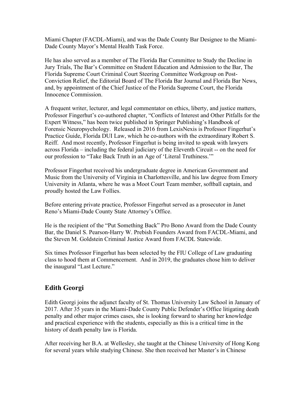Miami Chapter (FACDL-Miami), and was the Dade County Bar Designee to the Miami-Dade County Mayor's Mental Health Task Force.

He has also served as a member of The Florida Bar Committee to Study the Decline in Jury Trials, The Bar's Committee on Student Education and Admission to the Bar, The Florida Supreme Court Criminal Court Steering Committee Workgroup on Post-Conviction Relief, the Editorial Board of The Florida Bar Journal and Florida Bar News, and, by appointment of the Chief Justice of the Florida Supreme Court, the Florida Innocence Commission.

A frequent writer, lecturer, and legal commentator on ethics, liberty, and justice matters, Professor Fingerhut's co-authored chapter, "Conflicts of Interest and Other Pitfalls for the Expert Witness," has been twice published in Springer Publishing's Handbook of Forensic Neuropsychology. Released in 2016 from LexisNexis is Professor Fingerhut's Practice Guide, Florida DUI Law, which he co-authors with the extraordinary Robert S. Reiff. And most recently, Professor Fingerhut is being invited to speak with lawyers across Florida – including the federal judiciary of the Eleventh Circuit -- on the need for our profession to "Take Back Truth in an Age of 'Literal Truthiness.'"

Professor Fingerhut received his undergraduate degree in American Government and Music from the University of Virginia in Charlottesville, and his law degree from Emory University in Atlanta, where he was a Moot Court Team member, softball captain, and proudly hosted the Law Follies.

Before entering private practice, Professor Fingerhut served as a prosecutor in Janet Reno's Miami-Dade County State Attorney's Office.

He is the recipient of the "Put Something Back" Pro Bono Award from the Dade County Bar, the Daniel S. Pearson-Harry W. Prebish Founders Award from FACDL-Miami, and the Steven M. Goldstein Criminal Justice Award from FACDL Statewide.

Six times Professor Fingerhut has been selected by the FIU College of Law graduating class to hood them at Commencement. And in 2019, the graduates chose him to deliver the inaugural "Last Lecture."

# **Edith Georgi**

Edith Georgi joins the adjunct faculty of St. Thomas University Law School in January of 2017. After 35 years in the Miami-Dade County Public Defender's Office litigating death penalty and other major crimes cases, she is looking forward to sharing her knowledge and practical experience with the students, especially as this is a critical time in the history of death penalty law is Florida.

After receiving her B.A. at Wellesley, she taught at the Chinese University of Hong Kong for several years while studying Chinese. She then received her Master's in Chinese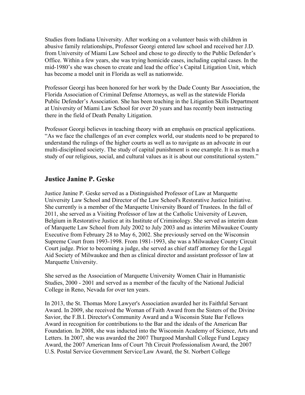Studies from Indiana University. After working on a volunteer basis with children in abusive family relationships, Professor Georgi entered law school and received her J.D. from University of Miami Law School and chose to go directly to the Public Defender's Office. Within a few years, she was trying homicide cases, including capital cases. In the mid-1980's she was chosen to create and lead the office's Capital Litigation Unit, which has become a model unit in Florida as well as nationwide.

Professor Georgi has been honored for her work by the Dade County Bar Association, the Florida Association of Criminal Defense Attorneys, as well as the statewide Florida Public Defender's Association. She has been teaching in the Litigation Skills Department at University of Miami Law School for over 20 years and has recently been instructing there in the field of Death Penalty Litigation.

Professor Georgi believes in teaching theory with an emphasis on practical applications. "As we face the challenges of an ever complex world, our students need to be prepared to understand the rulings of the higher courts as well as to navigate as an advocate in our multi-disciplined society. The study of capital punishment is one example. It is as much a study of our religious, social, and cultural values as it is about our constitutional system."

### **Justice Janine P. Geske**

Justice Janine P. Geske served as a Distinguished Professor of Law at Marquette University Law School and Director of the Law School's Restorative Justice Initiative. She currently is a member of the Marquette University Board of Trustees. In the fall of 2011, she served as a Visiting Professor of law at the Catholic University of Leuven, Belgium in Restorative Justice at its Institute of Criminology. She served as interim dean of Marquette Law School from July 2002 to July 2003 and as interim Milwaukee County Executive from February 28 to May 6, 2002. She previously served on the Wisconsin Supreme Court from 1993-1998. From 1981-1993, she was a Milwaukee County Circuit Court judge. Prior to becoming a judge, she served as chief staff attorney for the Legal Aid Society of Milwaukee and then as clinical director and assistant professor of law at Marquette University.

She served as the Association of Marquette University Women Chair in Humanistic Studies, 2000 - 2001 and served as a member of the faculty of the National Judicial College in Reno, Nevada for over ten years.

In 2013, the St. Thomas More Lawyer's Association awarded her its Faithful Servant Award. In 2009, she received the Woman of Faith Award from the Sisters of the Divine Savior, the F.B.I. Director's Community Award and a Wisconsin State Bar Fellows Award in recognition for contributions to the Bar and the ideals of the American Bar Foundation. In 2008, she was inducted into the Wisconsin Academy of Science, Arts and Letters. In 2007, she was awarded the 2007 Thurgood Marshall College Fund Legacy Award, the 2007 American Inns of Court 7th Circuit Professionalism Award, the 2007 U.S. Postal Service Government Service/Law Award, the St. Norbert College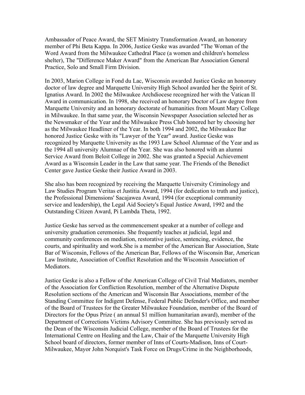Ambassador of Peace Award, the SET Ministry Transformation Award, an honorary member of Phi Beta Kappa. In 2006, Justice Geske was awarded "The Woman of the Word Award from the Milwaukee Cathedral Place (a women and children's homeless shelter), The "Difference Maker Award" from the American Bar Association General Practice, Solo and Small Firm Division.

In 2003, Marion College in Fond du Lac, Wisconsin awarded Justice Geske an honorary doctor of law degree and Marquette University High School awarded her the Spirit of St. Ignatius Award. In 2002 the Milwaukee Archdiocese recognized her with the Vatican II Award in communication. In 1998, she received an honorary Doctor of Law degree from Marquette University and an honorary doctorate of humanities from Mount Mary College in Milwaukee. In that same year, the Wisconsin Newspaper Association selected her as the Newsmaker of the Year and the Milwaukee Press Club honored her by choosing her as the Milwaukee Headliner of the Year. In both 1994 and 2002, the Milwaukee Bar honored Justice Geske with its "Lawyer of the Year" award. Justice Geske was recognized by Marquette University as the 1993 Law School Alumnae of the Year and as the 1994 all university Alumnae of the Year. She was also honored with an alumni Service Award from Beloit College in 2002. She was granted a Special Achievement Award as a Wisconsin Leader in the Law that same year. The Friends of the Benedict Center gave Justice Geske their Justice Award in 2003.

She also has been recognized by receiving the Marquette University Criminology and Law Studies Program Veritas et Justitia Award, 1994 (for dedication to truth and justice), the Professional Dimensions' Sacajawea Award, 1994 (for exceptional community service and leadership), the Legal Aid Society's Equal Justice Award, 1992 and the Outstanding Citizen Award, Pi Lambda Theta, 1992.

Justice Geske has served as the commencement speaker at a number of college and university graduation ceremonies. She frequently teaches at judicial, legal and community conferences on mediation, restorative justice, sentencing, evidence, the courts, and spirituality and work.She is a member of the American Bar Association, State Bar of Wisconsin, Fellows of the American Bar, Fellows of the Wisconsin Bar, American Law Institute, Association of Conflict Resolution and the Wisconsin Association of Mediators.

Justice Geske is also a Fellow of the American College of Civil Trial Mediators, member of the Association for Confliction Resolution, member of the Alternative Dispute Resolution sections of the American and Wisconsin Bar Associations, member of the Standing Committee for Indigent Defense, Federal Public Defender's Office, and member of the Board of Trustees for the Greater Milwaukee Foundation, member of the Board of Directors for the Opus Prize ( an annual \$1 million humanitarian award), member of the Department of Corrections Victims Advisory Committee. She has previously served as the Dean of the Wisconsin Judicial College, member of the Board of Trustees for the International Centre on Healing and the Law, Chair of the Marquette University High School board of directors, former member of Inns of Courts-Madison, Inns of Court-Milwaukee, Mayor John Norquist's Task Force on Drugs/Crime in the Neighborhoods,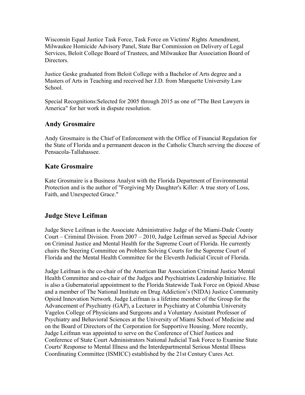Wisconsin Equal Justice Task Force, Task Force on Victims' Rights Amendment, Milwaukee Homicide Advisory Panel, State Bar Commission on Delivery of Legal Services, Beloit College Board of Trustees, and Milwaukee Bar Association Board of Directors.

Justice Geske graduated from Beloit College with a Bachelor of Arts degree and a Masters of Arts in Teaching and received her J.D. from Marquette University Law School.

Special Recognitions:Selected for 2005 through 2015 as one of "The Best Lawyers in America" for her work in dispute resolution.

## **Andy Grosmaire**

Andy Grosmaire is the Chief of Enforcement with the Office of Financial Regulation for the State of Florida and a permanent deacon in the Catholic Church serving the diocese of Pensacola-Tallahassee.

### **Kate Grosmaire**

Kate Grosmaire is a Business Analyst with the Florida Department of Environmental Protection and is the author of "Forgiving My Daughter's Killer: A true story of Loss, Faith, and Unexpected Grace."

## **Judge Steve Leifman**

Judge Steve Leifman is the Associate Administrative Judge of the Miami-Dade County Court – Criminal Division. From 2007 – 2010, Judge Leifman served as Special Advisor on Criminal Justice and Mental Health for the Supreme Court of Florida. He currently chairs the Steering Committee on Problem Solving Courts for the Supreme Court of Florida and the Mental Health Committee for the Eleventh Judicial Circuit of Florida.

Judge Leifman is the co-chair of the American Bar Association Criminal Justice Mental Health Committee and co-chair of the Judges and Psychiatrists Leadership Initiative. He is also a Gubernatorial appointment to the Florida Statewide Task Force on Opioid Abuse and a member of The National Institute on Drug Addiction's (NIDA) Justice Community Opioid Innovation Network. Judge Leifman is a lifetime member of the Group for the Advancement of Psychiatry (GAP), a Lecturer in Psychiatry at Columbia University Vagelos College of Physicians and Surgeons and a Voluntary Assistant Professor of Psychiatry and Behavioral Sciences at the University of Miami School of Medicine and on the Board of Directors of the Corporation for Supportive Housing. More recently, Judge Leifman was appointed to serve on the Conference of Chief Justices and Conference of State Court Administrators National Judicial Task Force to Examine State Courts' Response to Mental Illness and the Interdepartmental Serious Mental Illness Coordinating Committee (ISMICC) established by the 21st Century Cures Act.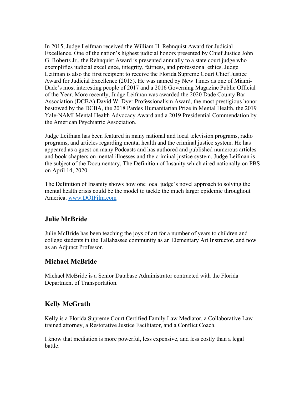In 2015, Judge Leifman received the William H. Rehnquist Award for Judicial Excellence. One of the nation's highest judicial honors presented by Chief Justice John G. Roberts Jr., the Rehnquist Award is presented annually to a state court judge who exemplifies judicial excellence, integrity, fairness, and professional ethics. Judge Leifman is also the first recipient to receive the Florida Supreme Court Chief Justice Award for Judicial Excellence (2015). He was named by New Times as one of Miami-Dade's most interesting people of 2017 and a 2016 Governing Magazine Public Official of the Year. More recently, Judge Leifman was awarded the 2020 Dade County Bar Association (DCBA) David W. Dyer Professionalism Award, the most prestigious honor bestowed by the DCBA, the 2018 Pardes Humanitarian Prize in Mental Health, the 2019 Yale-NAMI Mental Health Advocacy Award and a 2019 Presidential Commendation by the American Psychiatric Association.

Judge Leifman has been featured in many national and local television programs, radio programs, and articles regarding mental health and the criminal justice system. He has appeared as a guest on many Podcasts and has authored and published numerous articles and book chapters on mental illnesses and the criminal justice system. Judge Leifman is the subject of the Documentary, The Definition of Insanity which aired nationally on PBS on April 14, 2020.

The Definition of Insanity shows how one local judge's novel approach to solving the mental health crisis could be the model to tackle the much larger epidemic throughout America. [www.DOIFilm.com](http://www.doifilm.com/)

# **Julie McBride**

Julie McBride has been teaching the joys of art for a number of years to children and college students in the Tallahassee community as an Elementary Art Instructor, and now as an Adjunct Professor.

# **Michael McBride**

Michael McBride is a Senior Database Administrator contracted with the Florida Department of Transportation.

# **Kelly McGrath**

Kelly is a Florida Supreme Court Certified Family Law Mediator, a Collaborative Law trained attorney, a Restorative Justice Facilitator, and a Conflict Coach.

I know that mediation is more powerful, less expensive, and less costly than a legal battle.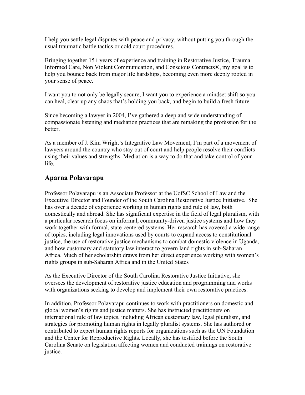I help you settle legal disputes with peace and privacy, without putting you through the usual traumatic battle tactics or cold court procedures.

Bringing together 15+ years of experience and training in Restorative Justice, Trauma Informed Care, Non Violent Communication, and Conscious Contracts®, my goal is to help you bounce back from major life hardships, becoming even more deeply rooted in your sense of peace.

I want you to not only be legally secure, I want you to experience a mindset shift so you can heal, clear up any chaos that's holding you back, and begin to build a fresh future.

Since becoming a lawyer in 2004, I've gathered a deep and wide understanding of compassionate listening and mediation practices that are remaking the profession for the better.

As a member of J. Kim Wright's Integrative Law Movement, I'm part of a movement of lawyers around the country who stay out of court and help people resolve their conflicts using their values and strengths. Mediation is a way to do that and take control of your life.

## **Aparna Polavarapu**

Professor Polavarapu is an Associate Professor at the UofSC School of Law and the Executive Director and Founder of the South Carolina Restorative Justice Initiative. She has over a decade of experience working in human rights and rule of law, both domestically and abroad. She has significant expertise in the field of legal pluralism, with a particular research focus on informal, community-driven justice systems and how they work together with formal, state-centered systems. Her research has covered a wide range of topics, including legal innovations used by courts to expand access to constitutional justice, the use of restorative justice mechanisms to combat domestic violence in Uganda, and how customary and statutory law interact to govern land rights in sub-Saharan Africa. Much of her scholarship draws from her direct experience working with women's rights groups in sub-Saharan Africa and in the United States

As the Executive Director of the South Carolina Restorative Justice Initiative, she oversees the development of restorative justice education and programming and works with organizations seeking to develop and implement their own restorative practices.

In addition, Professor Polavarapu continues to work with practitioners on domestic and global women's rights and justice matters. She has instructed practitioners on international rule of law topics, including African customary law, legal pluralism, and strategies for promoting human rights in legally pluralist systems. She has authored or contributed to expert human rights reports for organizations such as the UN Foundation and the Center for Reproductive Rights. Locally, she has testified before the South Carolina Senate on legislation affecting women and conducted trainings on restorative justice.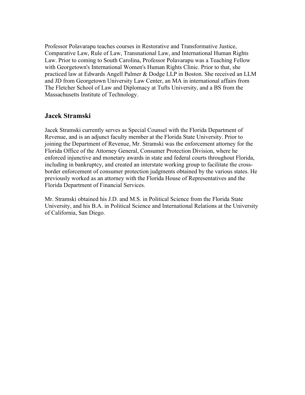Professor Polavarapu teaches courses in Restorative and Transformative Justice, Comparative Law, Rule of Law, Transnational Law, and International Human Rights Law. Prior to coming to South Carolina, Professor Polavarapu was a Teaching Fellow with Georgetown's International Women's Human Rights Clinic. Prior to that, she practiced law at Edwards Angell Palmer & Dodge LLP in Boston. She received an LLM and JD from Georgetown University Law Center, an MA in international affairs from The Fletcher School of Law and Diplomacy at Tufts University, and a BS from the Massachusetts Institute of Technology.

### **Jacek Stramski**

Jacek Stramski currently serves as Special Counsel with the Florida Department of Revenue, and is an adjunct faculty member at the Florida State University. Prior to joining the Department of Revenue, Mr. Stramski was the enforcement attorney for the Florida Office of the Attorney General, Consumer Protection Division, where he enforced injunctive and monetary awards in state and federal courts throughout Florida, including in bankruptcy, and created an interstate working group to facilitate the crossborder enforcement of consumer protection judgments obtained by the various states. He previously worked as an attorney with the Florida House of Representatives and the Florida Department of Financial Services.

Mr. Stramski obtained his J.D. and M.S. in Political Science from the Florida State University, and his B.A. in Political Science and International Relations at the University of California, San Diego.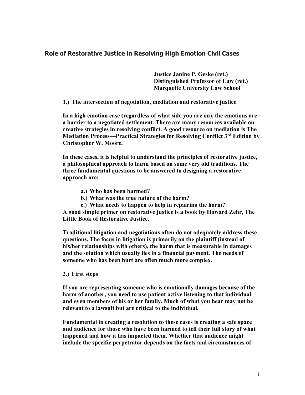### **Role of Restorative Justice in Resolving High Emotion Civil Cases**

 **Justice Janine P. Geske (ret.) Distinguished Professor of Law (ret.) Marquette University Law School**

**1.) The intersection of negotiation, mediation and restorative justice**

**In a high emotion case (regardless of what side you are on), the emotions are a barrier to a negotiated settlement. There are many resources available on creative strategies in resolving conflict. A good resource on mediation is The Mediation Process—Practical Strategies for Resolving Conflict 3rd Edition by Christopher W. Moore.**

**In these cases, it is helpful to understand the principles of restorative justice, a philosophical approach to harm based on some very old traditions. The three fundamental questions to be answered to designing a restorative approach are:**

- **a.) Who has been harmed?**
- **b.) What was the true nature of the harm?**
- **c.) What needs to happen to help in repairing the harm?**

**A good simple primer on restorative justice is a book by Howard Zehr, The Little Book of Restorative Justice.** 

**Traditional litigation and negotiations often do not adequately address these questions. The focus in litigation is primarily on the plaintiff (instead of his/her relationships with others), the harm that is measurable in damages and the solution which usually lies in a financial payment. The needs of someone who has been hurt are often much more complex.** 

**2.) First steps**

**If you are representing someone who is emotionally damages because of the harm of another, you need to use patient active listening to that individual and even members of his or her family. Much of what you hear may not be relevant to a lawsuit but are critical to the individual.** 

**Fundamental to creating a resolution to these cases is creating a safe space and audience for those who have been harmed to tell their full story of what happened and how it has impacted them. Whether that audience might include the specific perpetrator depends on the facts and circumstances of**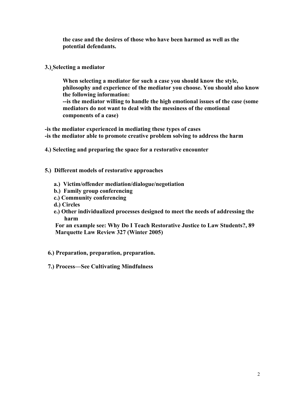**the case and the desires of those who have been harmed as well as the potential defendants.** 

### **3.) Selecting a mediator**

**When selecting a mediator for such a case you should know the style, philosophy and experience of the mediator you choose. You should also know the following information: --is the mediator willing to handle the high emotional issues of the case (some mediators do not want to deal with the messiness of the emotional components of a case)**

**-is the mediator experienced in mediating these types of cases -is the mediator able to promote creative problem solving to address the harm**

**4.) Selecting and preparing the space for a restorative encounter**

#### **5.) Different models of restorative approaches**

- **a.) Victim/offender mediation/dialogue/negotiation**
- **b.) Family group conferencing**
- **c.) Community conferencing**
- **d.) Circles**
- **e.) Other individualized processes designed to meet the needs of addressing the harm**

 **For an example see: Why Do I Teach Restorative Justice to Law Students?, 89 Marquette Law Review 327 (Winter 2005)** 

**6.) Preparation, preparation, preparation.**

 **7.) Process—See Cultivating Mindfulness**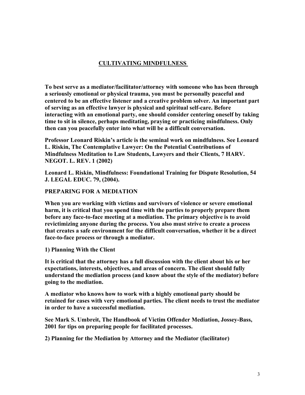### **CULTIVATING MINDFULNESS**

**To best serve as a mediator/facilitator/attorney with someone who has been through a seriously emotional or physical trauma, you must be personally peaceful and centered to be an effective listener and a creative problem solver. An important part of serving as an effective lawyer is physical and spiritual self-care. Before interacting with an emotional party, one should consider centering oneself by taking time to sit in silence, perhaps meditating, praying or practicing mindfulness. Only then can you peacefully enter into what will be a difficult conversation.**

**Professor Leonard Riskin's article is the seminal work on mindfulness. See Leonard L. Riskin, The Contemplative Lawyer: On the Potential Contributions of Mindfulness Meditation to Law Students, Lawyers and their Clients, 7 HARV. NEGOT. L. REV. 1 (2002)**

**Leonard L. Riskin, Mindfulness: Foundational Training for Dispute Resolution, 54 J. LEGAL EDUC. 79, (2004).**

#### **PREPARING FOR A MEDIATION**

**When you are working with victims and survivors of violence or severe emotional harm, it is critical that you spend time with the parties to properly prepare them before any face-to-face meeting at a mediation. The primary objective is to avoid revictimizing anyone during the process. You also must strive to create a process that creates a safe environment for the difficult conversation, whether it be a direct face-to-face process or through a mediator.**

**1) Planning With the Client**

**It is critical that the attorney has a full discussion with the client about his or her expectations, interests, objectives, and areas of concern. The client should fully understand the mediation process (and know about the style of the mediator) before going to the mediation.**

**A mediator who knows how to work with a highly emotional party should be retained for cases with very emotional parties. The client needs to trust the mediator in order to have a successful mediation.**

**See Mark S. Umbreit, The Handbook of Victim Offender Mediation, Jossey-Bass, 2001 for tips on preparing people for facilitated processes.**

**2) Planning for the Mediation by Attorney and the Mediator (facilitator)**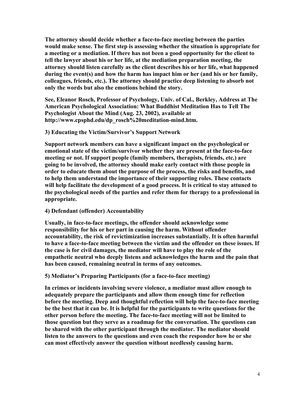**The attorney should decide whether a face-to-face meeting between the parties would make sense. The first step is assessing whether the situation is appropriate for a meeting or a mediation. If there has not been a good opportunity for the client to tell the lawyer about his or her life, at the mediation preparation meeting, the attorney should listen carefully as the client describes his or her life, what happened during the event(s) and how the harm has impact him or her (and his or her family, colleagues, friends, etc.). The attorney should practice deep listening to absorb not only the words but also the emotions behind the story.**

**See, Eleanor Rosch, Professor of Psychology, Univ. of Cal., Berkley, Address at The American Psychological Association: What Buddhist Meditation Has to Tell The Psychologist About the Mind (Aug. 23, 2002), available at http://www.cpsphd.edu/dp\_rosch%20meditation-mind.htm.**

#### **3) Educating the Victim/Survivor's Support Network**

**Support network members can have a significant impact on the psychological or emotional state of the victim/survivor whether they are present at the face-to-face meeting or not. If support people (family members, therapists, friends, etc.) are going to be involved, the attorney should make early contact with those people in order to educate them about the purpose of the process, the risks and benefits, and to help them understand the importance of their supporting roles. These contacts will help facilitate the development of a good process. It is critical to stay attuned to the psychological needs of the parties and refer them for therapy to a professional in appropriate.**

#### **4) Defendant (offender) Accountability**

**Usually, in face-to-face meetings, the offender should acknowledge some responsibility for his or her part in causing the harm. Without offender accountability, the risk of revictimization increases substantially. It is often harmful to have a face-to-face meeting between the victim and the offender on these issues. If the case is for civil damages, the mediator will have to play the role of the empathetic neutral who deeply listens and acknowledges the harm and the pain that has been caused, remaining neutral in terms of any outcomes.**

#### **5) Mediator's Preparing Participants (for a face-to-face meeting)**

**In crimes or incidents involving severe violence, a mediator must allow enough to adequately prepare the participants and allow them enough time for reflection before the meeting. Deep and thoughtful reflection will help the face-to-face meeting be the best that it can be. It is helpful for the participants to write questions for the other person before the meeting. The face-to-face meeting will not be limited to those question but they serve as a roadmap for the conversation. The questions can be shared with the other participant through the mediator. The mediator should listen to the answers to the questions and even coach the responder how he or she can most effectively answer the question without needlessly causing harm.**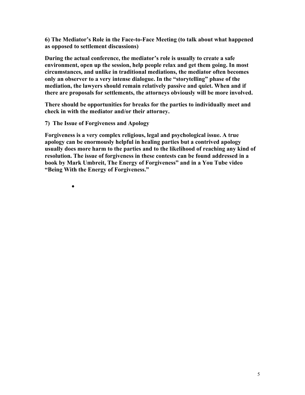**6) The Mediator's Role in the Face-to-Face Meeting (to talk about what happened as opposed to settlement discussions)**

**During the actual conference, the mediator's role is usually to create a safe environment, open up the session, help people relax and get them going. In most circumstances, and unlike in traditional mediations, the mediator often becomes only an observer to a very intense dialogue. In the "storytelling" phase of the mediation, the lawyers should remain relatively passive and quiet. When and if there are proposals for settlements, the attorneys obviously will be more involved.**

**There should be opportunities for breaks for the parties to individually meet and check in with the mediator and/or their attorney.** 

**7) The Issue of Forgiveness and Apology**

•

**Forgiveness is a very complex religious, legal and psychological issue. A true apology can be enormously helpful in healing parties but a contrived apology usually does more harm to the parties and to the likelihood of reaching any kind of resolution. The issue of forgiveness in these contests can be found addressed in a book by Mark Umbreit, The Energy of Forgiveness" and in a You Tube video "Being With the Energy of Forgiveness."**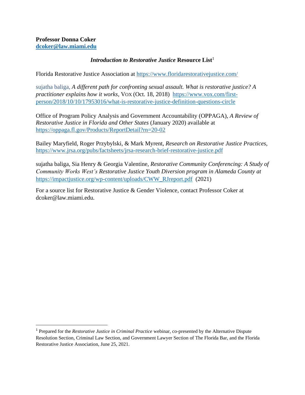### *Introduction to Restorative Justice Resource List*<sup>1</sup>

Florida Restorative Justice Association at<https://www.floridarestorativejustice.com/>

sujatha baliga, *A different path for confronting sexual assault. What is restorative justice? A practitioner explains how it works,* VOX (Oct. 18, 2018)[https://www.vox.com/first](https://www.vox.com/first-person/2018/10/10/17953016/what-is-restorative-justice-definition-questions-circle)[person/2018/10/10/17953016/what-is-restorative-justice-definition-questions-circle](https://www.vox.com/first-person/2018/10/10/17953016/what-is-restorative-justice-definition-questions-circle)

Office of Program Policy Analysis and Government Accountability (OPPAGA), *A Review of Restorative Justice in Florida and Other States* (January 2020) available at <https://oppaga.fl.gov/Products/ReportDetail?rn=20-02>

Bailey Maryfield, Roger Przybylski, & Mark Myrent, *Research on Restorative Justice Practices*, <https://www.jrsa.org/pubs/factsheets/jrsa-research-brief-restorative-justice.pdf>

sujatha baliga, Sia Henry & Georgia Valentine, *Restorative Community Conferencing: A Study of Community Works West's Restorative Justice Youth Diversion program in Alameda County at*  [https://impactjustice.org/wp-content/uploads/CWW\\_RJreport.pdf](https://impactjustice.org/wp-content/uploads/CWW_RJreport.pdf) (2021)

For a source list for Restorative Justice & Gender Violence, contact Professor Coker at dcoker@law.miami.edu.

<sup>1</sup> Prepared for the *Restorative Justice in Criminal Practice* webinar, co-presented by the Alternative Dispute Resolution Section, Criminal Law Section, and Government Lawyer Section of The Florida Bar, and the Florida Restorative Justice Association, June 25, 2021.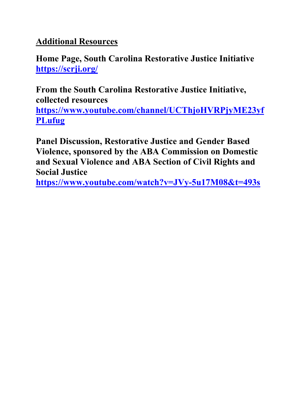# **Additional Resources**

**Home Page, South Carolina Restorative Justice Initiative <https://scrji.org/>**

**From the South Carolina Restorative Justice Initiative, collected resources [https://www.youtube.com/channel/UCThjoHVRPjyME23yf](https://www.youtube.com/channel/UCThjoHVRPjyME23yfPLufug) [PLufug](https://www.youtube.com/channel/UCThjoHVRPjyME23yfPLufug)**

**Panel Discussion, Restorative Justice and Gender Based Violence, sponsored by the ABA Commission on Domestic and Sexual Violence and ABA Section of Civil Rights and Social Justice**

**<https://www.youtube.com/watch?v=JVy-5u17M08&t=493s>**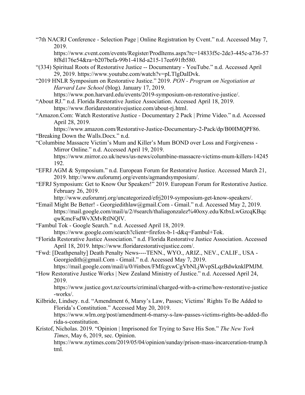"7th NACRJ Conference - Selection Page | Online Registration by Cvent." n.d. Accessed May 7, 2019.

https://www.cvent.com/events/Register/ProdItems.aspx?rc=14833f5c-2de3-445c-a736-57 8f8d176e54&ra=b207befa-99b1-418d-a215-17ee691fb580.

- "(334) Spiritual Roots of Restorative Justice -- Documentary YouTube." n.d. Accessed April 29, 2019. https://www.youtube.com/watch?v=pLTlgDalDvk.
- "2019 HNLR Symposium on Restorative Justice." 2019. *PON - Program on Negotiation at Harvard Law School* (blog). January 17, 2019.

https://www.pon.harvard.edu/events/2019-symposium-on-restorative-justice/.

- "About RJ." n.d. Florida Restorative Justice Association. Accessed April 18, 2019. https://www.floridarestorativejustice.com/about-rj.html.
- "Amazon.Com: Watch Restorative Justice Documentary 2 Pack | Prime Video." n.d. Accessed April 28, 2019.

https://www.amazon.com/Restorative-Justice-Documentary-2-Pack/dp/B00IMQPF86. "Breaking Down the Walls.Docx." n.d.

"Columbine Massacre Victim's Mum and Killer's Mum BOND over Loss and Forgiveness - Mirror Online." n.d. Accessed April 19, 2019. https://www.mirror.co.uk/news/us-news/columbine-massacre-victims-mum-killers-14245 192.

- "EFRJ AGM & Symposium." n.d. European Forum for Restorative Justice. Accessed March 21, 2019. http://www.euforumrj.org/events/agmandsymposium/.
- "EFRJ Symposium: Get to Know Our Speakers!" 2019. European Forum for Restorative Justice. February 26, 2019.

http://www.euforumrj.org/uncategorized/efrj2019-symposium-get-know-speakers/.

- "Email Might Be Better! Georgiedithlaw@gmail.Com Gmail." n.d. Accessed May 2, 2019. https://mail.google.com/mail/u/2/#search/thaliagonzalez%40oxy.edu/KtbxLwGzcqKBqc qwKmcFsdWvXMvRtlNQlV.
- "Fambul Tok Google Search." n.d. Accessed April 18, 2019. https://www.google.com/search?client=firefox-b-1-d&q=Fambul+Tok.
- "Florida Restorative Justice Association." n.d. Florida Restorative Justice Association. Accessed April 18, 2019. https://www.floridarestorativejustice.com/.
- "Fwd: [Deathpenalty] Death Penalty News----TENN., WYO., ARIZ., NEV., CALIF., USA Georgiedith@gmail.Com - Gmail." n.d. Accessed May 7, 2019. https://mail.google.com/mail/u/0/#inbox/FMfcgxwCgVbNLjWvpSLqzBdwknklPMJM.

"How Restorative Justice Works | New Zealand Ministry of Justice." n.d. Accessed April 24, 2019.

https://www.justice.govt.nz/courts/criminal/charged-with-a-crime/how-restorative-justice -works/.

- Kilbride, Lindsey. n.d. "Amendment 6, Marsy's Law, Passes; Victims' Rights To Be Added to Florida's Constitution." Accessed May 20, 2019. https://www.wlrn.org/post/amendment-6-marsy-s-law-passes-victims-rights-be-added-flo rida-s-constitution.
- Kristof, Nicholas. 2019. "Opinion | Imprisoned for Trying to Save His Son." *The New York Times*, May 6, 2019, sec. Opinion.

https://www.nytimes.com/2019/05/04/opinion/sunday/prison-mass-incarceration-trump.h tml.